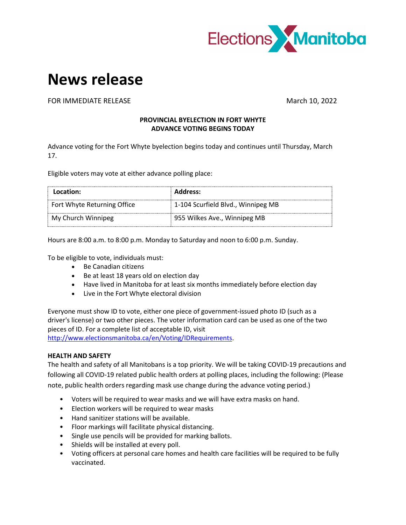

## **News release**

FOR IMMEDIATE RELEASE March 10, 2022

## **PROVINCIAL BYELECTION IN FORT WHYTE ADVANCE VOTING BEGINS TODAY**

Advance voting for the Fort Whyte byelection begins today and continues until Thursday, March 17.

Eligible voters may vote at either advance polling place:

| Location:                   | <b>Address:</b>                    |
|-----------------------------|------------------------------------|
| Fort Whyte Returning Office | 1-104 Scurfield Blvd., Winnipeg MB |
| My Church Winnipeg          | 955 Wilkes Ave., Winnipeg MB       |

Hours are 8:00 a.m. to 8:00 p.m. Monday to Saturday and noon to 6:00 p.m. Sunday.

To be eligible to vote, individuals must:

- Be Canadian citizens
- Be at least 18 years old on election day
- Have lived in Manitoba for at least six months immediately before election day
- Live in the Fort Whyte electoral division

Everyone must show ID to vote, either one piece of government-issued photo ID (such as a driver's license) or two other pieces. The voter information card can be used as one of the two pieces of ID. For a complete list of acceptable ID, visit [http://www.electionsmanitoba.ca/en/Voting/IDRequirements.](http://www.electionsmanitoba.ca/en/Voting/IDRequirements)

## **HEALTH AND SAFETY**

The health and safety of all Manitobans is a top priority. We will be taking COVID-19 precautions and following all COVID-19 related public health orders at polling places, including the following: (Please note, public health orders regarding mask use change during the advance voting period.)

- Voters will be required to wear masks and we will have extra masks on hand.
- Election workers will be required to wear masks
- Hand sanitizer stations will be available.
- Floor markings will facilitate physical distancing.
- Single use pencils will be provided for marking ballots.
- Shields will be installed at every poll.
- Voting officers at personal care homes and health care facilities will be required to be fully vaccinated.